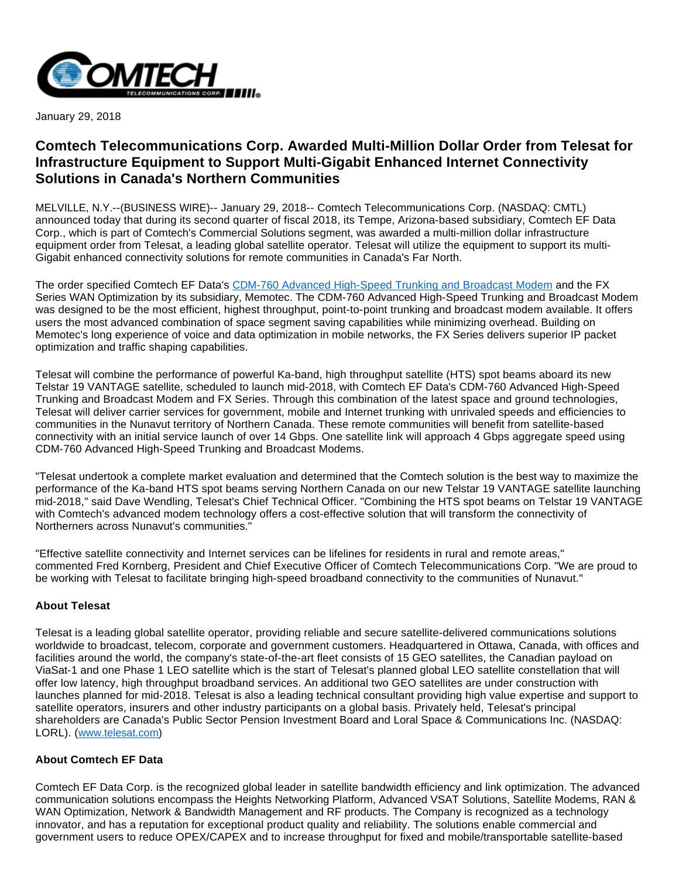

January 29, 2018

## **Comtech Telecommunications Corp. Awarded Multi-Million Dollar Order from Telesat for Infrastructure Equipment to Support Multi-Gigabit Enhanced Internet Connectivity Solutions in Canada's Northern Communities**

MELVILLE, N.Y.--(BUSINESS WIRE)-- January 29, 2018-- Comtech Telecommunications Corp. (NASDAQ: CMTL) announced today that during its second quarter of fiscal 2018, its Tempe, Arizona-based subsidiary, Comtech EF Data Corp., which is part of Comtech's Commercial Solutions segment, was awarded a multi-million dollar infrastructure equipment order from Telesat, a leading global satellite operator. Telesat will utilize the equipment to support its multi-Gigabit enhanced connectivity solutions for remote communities in Canada's Far North.

The order specified Comtech EF Data's [CDM-760 Advanced High-Speed Trunking and Broadcast Modem](http://cts.businesswire.com/ct/CT?id=smartlink&url=https%3A%2F%2Fwww.comtechefdata.com%2Fproducts%2Fsatellite-modems%2Fcdm-760&esheet=51750069&newsitemid=20180129005672&lan=en-US&anchor=CDM-760+Advanced+High-Speed+Trunking+and+Broadcast+Modem&index=1&md5=d1ef38695aa8e3e5037001653d74c2e0) and the FX Series WAN Optimization by its subsidiary, Memotec. The CDM-760 Advanced High-Speed Trunking and Broadcast Modem was designed to be the most efficient, highest throughput, point-to-point trunking and broadcast modem available. It offers users the most advanced combination of space segment saving capabilities while minimizing overhead. Building on Memotec's long experience of voice and data optimization in mobile networks, the FX Series delivers superior IP packet optimization and traffic shaping capabilities.

Telesat will combine the performance of powerful Ka-band, high throughput satellite (HTS) spot beams aboard its new Telstar 19 VANTAGE satellite, scheduled to launch mid-2018, with Comtech EF Data's CDM-760 Advanced High-Speed Trunking and Broadcast Modem and FX Series. Through this combination of the latest space and ground technologies, Telesat will deliver carrier services for government, mobile and Internet trunking with unrivaled speeds and efficiencies to communities in the Nunavut territory of Northern Canada. These remote communities will benefit from satellite-based connectivity with an initial service launch of over 14 Gbps. One satellite link will approach 4 Gbps aggregate speed using CDM-760 Advanced High-Speed Trunking and Broadcast Modems.

"Telesat undertook a complete market evaluation and determined that the Comtech solution is the best way to maximize the performance of the Ka-band HTS spot beams serving Northern Canada on our new Telstar 19 VANTAGE satellite launching mid-2018," said Dave Wendling, Telesat's Chief Technical Officer. "Combining the HTS spot beams on Telstar 19 VANTAGE with Comtech's advanced modem technology offers a cost-effective solution that will transform the connectivity of Northerners across Nunavut's communities."

"Effective satellite connectivity and Internet services can be lifelines for residents in rural and remote areas," commented Fred Kornberg, President and Chief Executive Officer of Comtech Telecommunications Corp. "We are proud to be working with Telesat to facilitate bringing high-speed broadband connectivity to the communities of Nunavut."

## **About Telesat**

Telesat is a leading global satellite operator, providing reliable and secure satellite-delivered communications solutions worldwide to broadcast, telecom, corporate and government customers. Headquartered in Ottawa, Canada, with offices and facilities around the world, the company's state-of-the-art fleet consists of 15 GEO satellites, the Canadian payload on ViaSat-1 and one Phase 1 LEO satellite which is the start of Telesat's planned global LEO satellite constellation that will offer low latency, high throughput broadband services. An additional two GEO satellites are under construction with launches planned for mid-2018. Telesat is also a leading technical consultant providing high value expertise and support to satellite operators, insurers and other industry participants on a global basis. Privately held, Telesat's principal shareholders are Canada's Public Sector Pension Investment Board and Loral Space & Communications Inc. (NASDAQ: LORL). ([www.telesat.com](http://cts.businesswire.com/ct/CT?id=smartlink&url=http%3A%2F%2Fwww.telesat.com&esheet=51750069&newsitemid=20180129005672&lan=en-US&anchor=www.telesat.com&index=2&md5=e67f6cb4d98b85f5752718d206e7a2cf))

## **About Comtech EF Data**

Comtech EF Data Corp. is the recognized global leader in satellite bandwidth efficiency and link optimization. The advanced communication solutions encompass the Heights Networking Platform, Advanced VSAT Solutions, Satellite Modems, RAN & WAN Optimization, Network & Bandwidth Management and RF products. The Company is recognized as a technology innovator, and has a reputation for exceptional product quality and reliability. The solutions enable commercial and government users to reduce OPEX/CAPEX and to increase throughput for fixed and mobile/transportable satellite-based